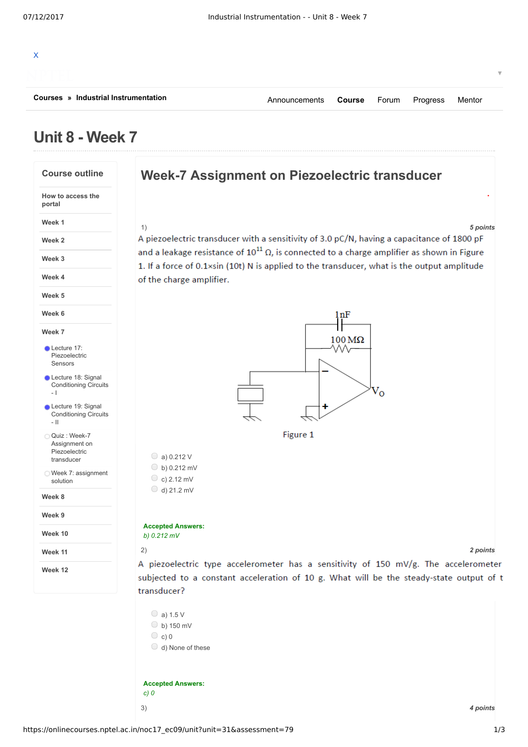

## **Unit 8 - Week 7**

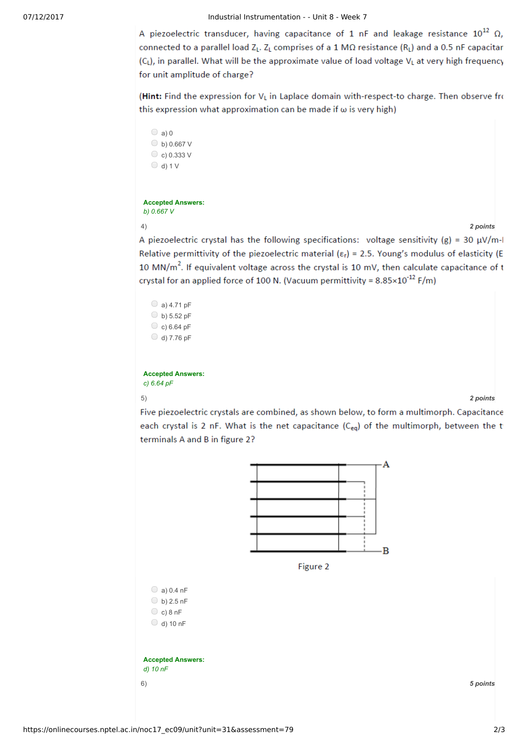07/12/2017 **Industrial Instrumentation - - Unit 8 - Week 7** 

A piezoelectric transducer, having capacitance of 1 nF and leakage resistance  $10^{12}$   $\Omega$ , connected to a parallel load  $Z_L$ .  $Z_L$  comprises of a 1 M $\Omega$  resistance (R<sub>L</sub>) and a 0.5 nF capacitar (CL), in parallel. What will be the approximate value of load voltage VL at very high frequency for unit amplitude of charge?

(Hint: Find the expression for V<sub>L</sub> in Laplace domain with-respect-to charge. Then observe from this expression what approximation can be made if  $\omega$  is very high)

```
\bigcirc a) 0
\bigcirc b) 0.667 V
\circ c) 0.333 V
O d) 1 V
```
**Accepted Answers:** *b) 0.667 V*

4) *2 points*

A piezoelectric crystal has the following specifications: voltage sensitivity (g) = 30  $\mu$ V/m-I Relative permittivity of the piezoelectric material ( $\varepsilon_r$ ) = 2.5. Young's modulus of elasticity (E 10 MN/m<sup>2</sup>. If equivalent voltage across the crystal is 10 mV, then calculate capacitance of t crystal for an applied force of 100 N. (Vacuum permittivity =  $8.85 \times 10^{-12}$  F/m)

 $\bigcirc$  a) 4.71 pF  $\bigcirc$  b) 5.52 pF  $\circ$  c) 6.64 pF  $\bigcirc$  d) 7.76 pF

**Accepted Answers:** *c) 6.64 pF*

5) *2 points*

Five piezoelectric crystals are combined, as shown below, to form a multimorph. Capacitance each crystal is 2 nF. What is the net capacitance (C<sub>eg</sub>) of the multimorph, between the t terminals A and B in figure 2?



https://onlinecourses.nptel.ac.in/noc17\_ec09/unit?unit=31&assessment=79 2/3